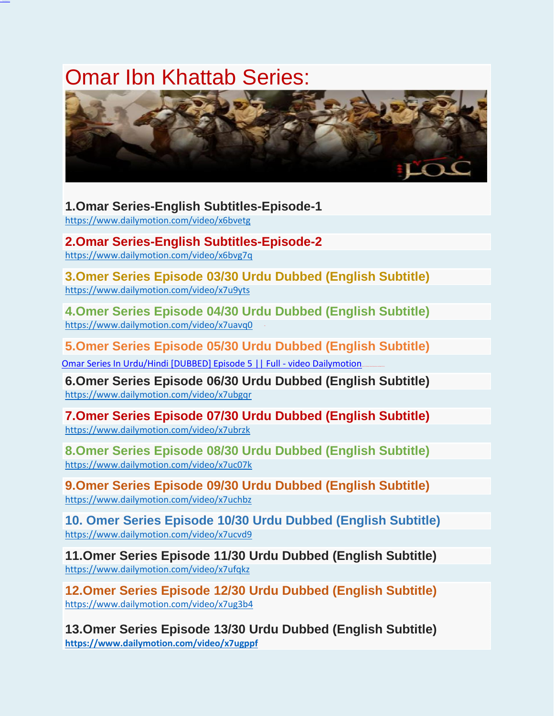## Omar Ibn Khattab Series:



**1.Omar Series-English Subtitles-Episode-1**

<https://www.dailymotion.com/video/x6bvetg>

**2.Omar Series-English Subtitles-Episode-2** <https://www.dailymotion.com/video/x6bvg7q>

**3.Omer Series Episode 03/30 Urdu Dubbed (English Subtitle)** <https://www.dailymotion.com/video/x7u9yts>

**4.Omer Series Episode 04/30 Urdu Dubbed (English Subtitle)** <https://www.dailymotion.com/video/x7uavq0>

**5.Omer Series Episode 05/30 Urdu Dubbed (English Subtitle)**

[Omar Series In Urdu/Hindi \[DUBBED\] Episode 5 || Full -](https://www.dailymotion.com/video/x7u1r2y) video Dailymotion.

**6.Omer Series Episode 06/30 Urdu Dubbed (English Subtitle)** <https://www.dailymotion.com/video/x7ubgqr>

**7.Omer Series Episode 07/30 Urdu Dubbed (English Subtitle)** <https://www.dailymotion.com/video/x7ubrzk>

**8.Omer Series Episode 08/30 Urdu Dubbed (English Subtitle)** <https://www.dailymotion.com/video/x7uc07k>

**9.Omer Series Episode 09/30 Urdu Dubbed (English Subtitle)** <https://www.dailymotion.com/video/x7uchbz>

**10. Omer Series Episode 10/30 Urdu Dubbed (English Subtitle)** <https://www.dailymotion.com/video/x7ucvd9>

**11.Omer Series Episode 11/30 Urdu Dubbed (English Subtitle)** <https://www.dailymotion.com/video/x7ufqkz>

**12.Omer Series Episode 12/30 Urdu Dubbed (English Subtitle)** <https://www.dailymotion.com/video/x7ug3b4>

**13.Omer Series Episode 13/30 Urdu Dubbed (English Subtitle) <https://www.dailymotion.com/video/x7ugppf>**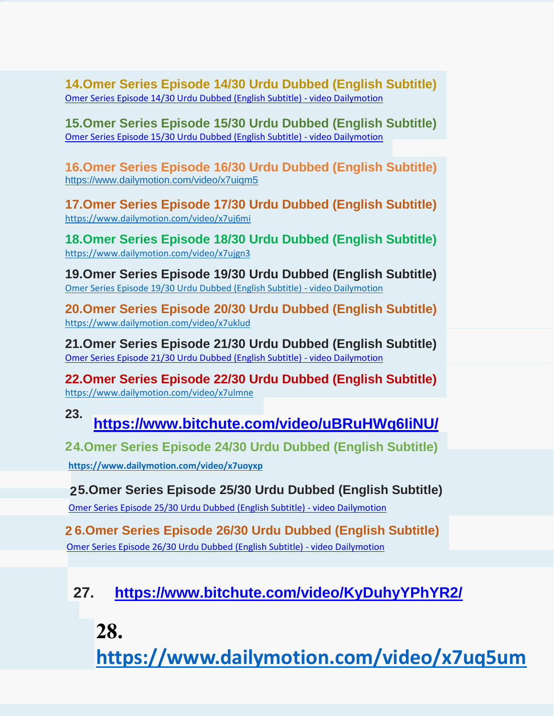**14.Omer Series Episode 14/30 Urdu Dubbed (English Subtitle)** [Omer](https://www.dailymotion.com/video/x7uh94s) [Series](https://www.dailymotion.com/video/x7uh94s) [Episode](https://www.dailymotion.com/video/x7uh94s) [14/30](https://www.dailymotion.com/video/x7uh94s) [Urdu](https://www.dailymotion.com/video/x7uh94s) [Dubbed](https://www.dailymotion.com/video/x7uh94s) [\(English](https://www.dailymotion.com/video/x7uh94s) [Subtitle\)](https://www.dailymotion.com/video/x7uh94s) [-](https://www.dailymotion.com/video/x7uh94s) [video](https://www.dailymotion.com/video/x7uh94s) [Dailymotion](https://www.dailymotion.com/video/x7uh94s)

**15.Omer Series Episode 15/30 Urdu Dubbed (English Subtitle)** [Omer](https://www.dailymotion.com/video/x7ui2j4) [Series](https://www.dailymotion.com/video/x7ui2j4) [Episode](https://www.dailymotion.com/video/x7ui2j4) [15/30](https://www.dailymotion.com/video/x7ui2j4) [Urdu](https://www.dailymotion.com/video/x7ui2j4) [Dubbed](https://www.dailymotion.com/video/x7ui2j4) [\(English](https://www.dailymotion.com/video/x7ui2j4) [Subtitle\)](https://www.dailymotion.com/video/x7ui2j4) [-](https://www.dailymotion.com/video/x7ui2j4) [video](https://www.dailymotion.com/video/x7ui2j4) [Dailymotion](https://www.dailymotion.com/video/x7ui2j4)

**16.Omer Series Episode 16/30 Urdu Dubbed (English Subtitle)** <https://www.dailymotion.com/video/x7uiqm5>

**17.Omer Series Episode 17/30 Urdu Dubbed (English Subtitle)** <https://www.dailymotion.com/video/x7uj6mi>

**18.Omer Series Episode 18/30 Urdu Dubbed (English Subtitle)** <https://www.dailymotion.com/video/x7ujgn3>

**19.Omer Series Episode 19/30 Urdu Dubbed (English Subtitle)** [Omer](https://www.dailymotion.com/video/x7ujve5) [Series](https://www.dailymotion.com/video/x7ujve5) [Episode](https://www.dailymotion.com/video/x7ujve5) [19/30](https://www.dailymotion.com/video/x7ujve5) [Urdu](https://www.dailymotion.com/video/x7ujve5) [Dubbed](https://www.dailymotion.com/video/x7ujve5) [\(English](https://www.dailymotion.com/video/x7ujve5) [Subtitle\)](https://www.dailymotion.com/video/x7ujve5) [-](https://www.dailymotion.com/video/x7ujve5) [video](https://www.dailymotion.com/video/x7ujve5) [Dailymotion](https://www.dailymotion.com/video/x7ujve5)

**20.Omer Series Episode 20/30 Urdu Dubbed (English Subtitle)** <https://www.dailymotion.com/video/x7uklud>

**21.Omer Series Episode 21/30 Urdu Dubbed (English Subtitle)** [Omer](https://www.dailymotion.com/video/x7ul4a3) [Series](https://www.dailymotion.com/video/x7ul4a3) [Episode](https://www.dailymotion.com/video/x7ul4a3) [21/30](https://www.dailymotion.com/video/x7ul4a3) [Urdu](https://www.dailymotion.com/video/x7ul4a3) [Dubbed](https://www.dailymotion.com/video/x7ul4a3) [\(English](https://www.dailymotion.com/video/x7ul4a3) [Subtitle\)](https://www.dailymotion.com/video/x7ul4a3) [-](https://www.dailymotion.com/video/x7ul4a3) [video](https://www.dailymotion.com/video/x7ul4a3) [Dailymotion](https://www.dailymotion.com/video/x7ul4a3)

**22.Omer Series Episode 22/30 Urdu Dubbed (English Subtitle)** <https://www.dailymotion.com/video/x7ulmne>

**<https://www.bitchute.com/video/uBRuHWq6IiNU/> 23.**

**4.Omer Series Episode 24/30 Urdu Dubbed (English Subtitle) 2**

**<https://www.dailymotion.com/video/x7uoyxp>**

**25.Omer Series Episode 25/30 Urdu Dubbed (English Subtitle)**

[Omer](https://www.dailymotion.com/video/x7uoyxq) [Series](https://www.dailymotion.com/video/x7uoyxq) [Episode](https://www.dailymotion.com/video/x7uoyxq) [25/30](https://www.dailymotion.com/video/x7uoyxq) [Urdu](https://www.dailymotion.com/video/x7uoyxq) [Dubbed](https://www.dailymotion.com/video/x7uoyxq) [\(English](https://www.dailymotion.com/video/x7uoyxq) [Subtitle\)](https://www.dailymotion.com/video/x7uoyxq) [-](https://www.dailymotion.com/video/x7uoyxq) [video](https://www.dailymotion.com/video/x7uoyxq) [Dailymotion](https://www.dailymotion.com/video/x7uoyxq)

**2 6.Omer Series Episode 26/30 Urdu Dubbed (English Subtitle)** [Omer](https://www.dailymotion.com/video/x7upj9p) [Series](https://www.dailymotion.com/video/x7upj9p) [Episode](https://www.dailymotion.com/video/x7upj9p) [26/30](https://www.dailymotion.com/video/x7upj9p) [Urdu](https://www.dailymotion.com/video/x7upj9p) [Dubbed](https://www.dailymotion.com/video/x7upj9p) [\(English](https://www.dailymotion.com/video/x7upj9p) [Subtitle\)](https://www.dailymotion.com/video/x7upj9p) [-](https://www.dailymotion.com/video/x7upj9p) [video](https://www.dailymotion.com/video/x7upj9p) [Dailymotion](https://www.dailymotion.com/video/x7upj9p)

**27. <https://www.bitchute.com/video/KyDuhyYPhYR2/>**

**28.** 

**<https://www.dailymotion.com/video/x7uq5um>**